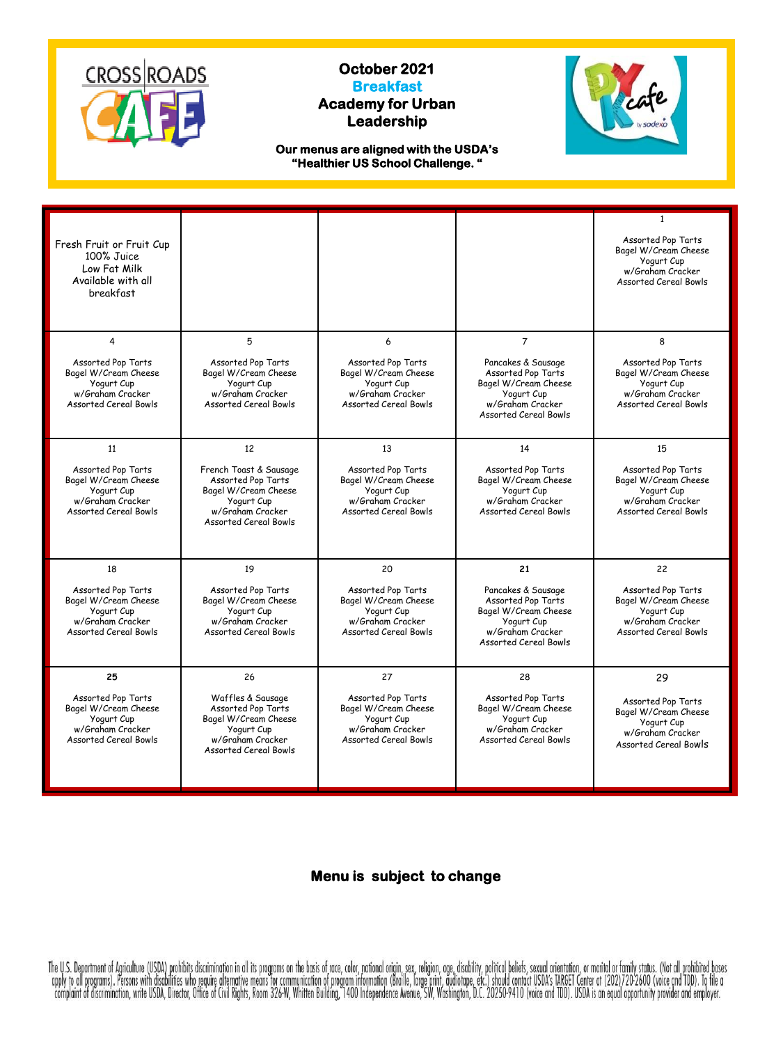

## **October 2021 Breakfast Academy for Urban Leadership**



**Our menus are aligned with the USDA's "Healthier US School Challenge. "**

| Fresh Fruit or Fruit Cup<br>100% Juice<br>Low Fat Milk<br>Available with all<br>breakfast                    |                                                                                                                                        |                                                                                                              |                                                                                                                                    | $\mathbf{1}$<br>Assorted Pop Tarts<br>Bagel W/Cream Cheese<br>Yogurt Cup<br>w/Graham Cracker<br><b>Assorted Cereal Bowls</b> |
|--------------------------------------------------------------------------------------------------------------|----------------------------------------------------------------------------------------------------------------------------------------|--------------------------------------------------------------------------------------------------------------|------------------------------------------------------------------------------------------------------------------------------------|------------------------------------------------------------------------------------------------------------------------------|
| 4<br>Assorted Pop Tarts                                                                                      | 5<br>Assorted Pop Tarts                                                                                                                | 6<br>Assorted Pop Tarts                                                                                      | $\overline{7}$<br>Pancakes & Sausage                                                                                               | 8<br>Assorted Pop Tarts                                                                                                      |
| Bagel W/Cream Cheese<br>Yogurt Cup<br>w/Graham Cracker<br><b>Assorted Cereal Bowls</b>                       | Bagel W/Cream Cheese<br>Yogurt Cup<br>w/Graham Cracker<br><b>Assorted Cereal Bowls</b>                                                 | Bagel W/Cream Cheese<br>Yogurt Cup<br>w/Graham Cracker<br><b>Assorted Cereal Bowls</b>                       | Assorted Pop Tarts<br>Bagel W/Cream Cheese<br>Yogurt Cup<br>w/Graham Cracker<br><b>Assorted Cereal Bowls</b>                       | Bagel W/Cream Cheese<br>Yogurt Cup<br>w/Graham Cracker<br><b>Assorted Cereal Bowls</b>                                       |
| 11                                                                                                           | 12                                                                                                                                     | 13                                                                                                           | 14                                                                                                                                 | 15                                                                                                                           |
| Assorted Pop Tarts<br>Bagel W/Cream Cheese<br>Yogurt Cup<br>w/Graham Cracker<br><b>Assorted Cereal Bowls</b> | French Toast & Sausage<br>Assorted Pop Tarts<br>Bagel W/Cream Cheese<br>Yogurt Cup<br>w/Graham Cracker<br><b>Assorted Cereal Bowls</b> | Assorted Pop Tarts<br>Bagel W/Cream Cheese<br>Yogurt Cup<br>w/Graham Cracker<br><b>Assorted Cereal Bowls</b> | Assorted Pop Tarts<br>Bagel W/Cream Cheese<br>Yogurt Cup<br>w/Graham Cracker<br><b>Assorted Cereal Bowls</b>                       | Assorted Pop Tarts<br>Bagel W/Cream Cheese<br>Yogurt Cup<br>w/Graham Cracker<br><b>Assorted Cereal Bowls</b>                 |
| 18                                                                                                           | 19                                                                                                                                     | 20                                                                                                           | 21                                                                                                                                 | 22                                                                                                                           |
| Assorted Pop Tarts<br>Bagel W/Cream Cheese<br>Yogurt Cup<br>w/Graham Cracker<br><b>Assorted Cereal Bowls</b> | Assorted Pop Tarts<br>Bagel W/Cream Cheese<br>Yogurt Cup<br>w/Graham Cracker<br>Assorted Cereal Bowls                                  | Assorted Pop Tarts<br>Bagel W/Cream Cheese<br>Yogurt Cup<br>w/Graham Cracker<br><b>Assorted Cereal Bowls</b> | Pancakes & Sausage<br>Assorted Pop Tarts<br>Bagel W/Cream Cheese<br>Yogurt Cup<br>w/Graham Cracker<br><b>Assorted Cereal Bowls</b> | Assorted Pop Tarts<br>Bagel W/Cream Cheese<br>Yogurt Cup<br>w/Graham Cracker<br>Assorted Cereal Bowls                        |
| 25                                                                                                           | 26                                                                                                                                     | 27                                                                                                           | 28                                                                                                                                 | 29                                                                                                                           |
| Assorted Pop Tarts<br>Bagel W/Cream Cheese<br>Yogurt Cup<br>w/Graham Cracker<br><b>Assorted Cereal Bowls</b> | Waffles & Sausage<br>Assorted Pop Tarts<br>Bagel W/Cream Cheese<br>Yogurt Cup<br>w/Graham Cracker<br><b>Assorted Cereal Bowls</b>      | Assorted Pop Tarts<br>Bagel W/Cream Cheese<br>Yogurt Cup<br>w/Graham Cracker<br><b>Assorted Cereal Bowls</b> | Assorted Pop Tarts<br>Bagel W/Cream Cheese<br>Yogurt Cup<br>w/Graham Cracker<br><b>Assorted Cereal Bowls</b>                       | Assorted Pop Tarts<br>Bagel W/Cream Cheese<br>Yogurt Cup<br>w/Graham Cracker<br>Assorted Cereal Bowls                        |

## **Menu is subject to change**

The U.S. Department of Agriculture (USDA) prohibits discrimination in all its programs on the basis of race, color, national origin, sex, religion, age, disability, political belefs, sexual orientation, or marital or famil